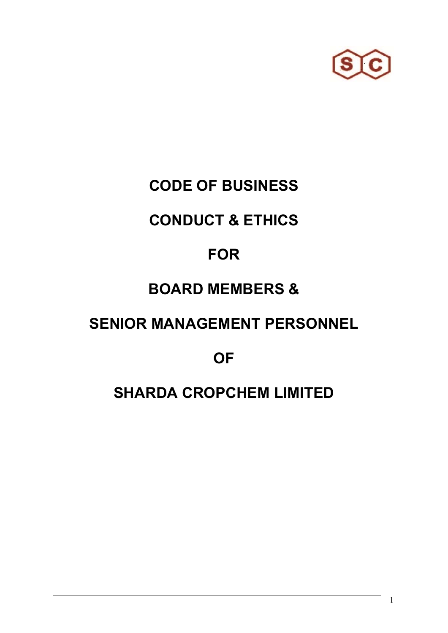

# **CODE OF BUSINESS**

# **CONDUCT & ETHICS**

# **FOR**

# **BOARD MEMBERS &**

# **SENIOR MANAGEMENT PERSONNEL**

**OF** 

# **SHARDA CROPCHEM LIMITED**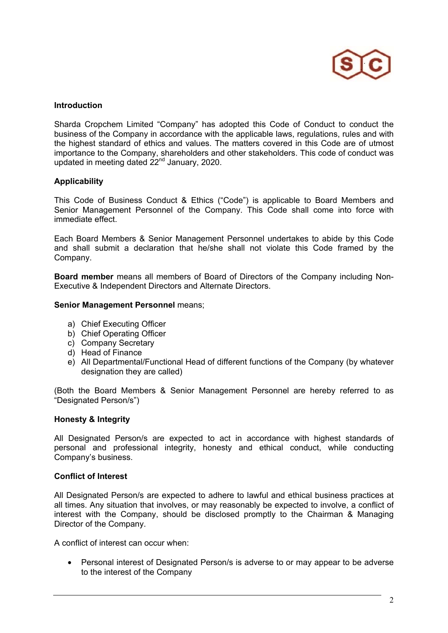

## **Introduction**

Sharda Cropchem Limited "Company" has adopted this Code of Conduct to conduct the business of the Company in accordance with the applicable laws, regulations, rules and with the highest standard of ethics and values. The matters covered in this Code are of utmost importance to the Company, shareholders and other stakeholders. This code of conduct was updated in meeting dated 22nd January, 2020.

# **Applicability**

This Code of Business Conduct & Ethics ("Code") is applicable to Board Members and Senior Management Personnel of the Company. This Code shall come into force with immediate effect.

Each Board Members & Senior Management Personnel undertakes to abide by this Code and shall submit a declaration that he/she shall not violate this Code framed by the Company.

**Board member** means all members of Board of Directors of the Company including Non-Executive & Independent Directors and Alternate Directors.

#### **Senior Management Personnel** means;

- a) Chief Executing Officer
- b) Chief Operating Officer
- c) Company Secretary
- d) Head of Finance
- e) All Departmental/Functional Head of different functions of the Company (by whatever designation they are called)

(Both the Board Members & Senior Management Personnel are hereby referred to as "Designated Person/s")

## **Honesty & Integrity**

All Designated Person/s are expected to act in accordance with highest standards of personal and professional integrity, honesty and ethical conduct, while conducting Company's business.

## **Conflict of Interest**

All Designated Person/s are expected to adhere to lawful and ethical business practices at all times. Any situation that involves, or may reasonably be expected to involve, a conflict of interest with the Company, should be disclosed promptly to the Chairman & Managing Director of the Company.

A conflict of interest can occur when:

• Personal interest of Designated Person/s is adverse to or may appear to be adverse to the interest of the Company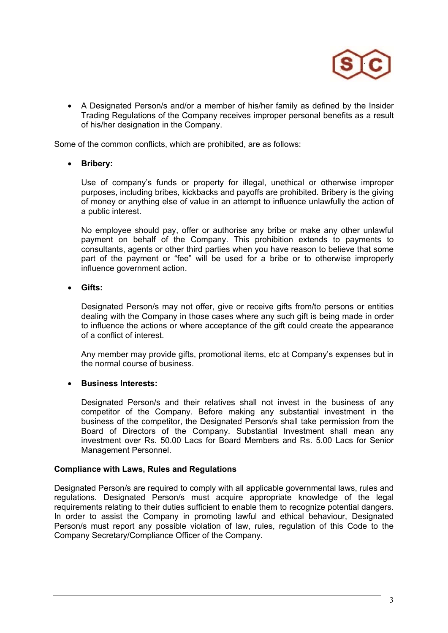

• A Designated Person/s and/or a member of his/her family as defined by the Insider Trading Regulations of the Company receives improper personal benefits as a result of his/her designation in the Company.

Some of the common conflicts, which are prohibited, are as follows:

• **Bribery:** 

Use of company's funds or property for illegal, unethical or otherwise improper purposes, including bribes, kickbacks and payoffs are prohibited. Bribery is the giving of money or anything else of value in an attempt to influence unlawfully the action of a public interest.

No employee should pay, offer or authorise any bribe or make any other unlawful payment on behalf of the Company. This prohibition extends to payments to consultants, agents or other third parties when you have reason to believe that some part of the payment or "fee" will be used for a bribe or to otherwise improperly influence government action.

• **Gifts:** 

Designated Person/s may not offer, give or receive gifts from/to persons or entities dealing with the Company in those cases where any such gift is being made in order to influence the actions or where acceptance of the gift could create the appearance of a conflict of interest.

Any member may provide gifts, promotional items, etc at Company's expenses but in the normal course of business.

## • **Business Interests:**

Designated Person/s and their relatives shall not invest in the business of any competitor of the Company. Before making any substantial investment in the business of the competitor, the Designated Person/s shall take permission from the Board of Directors of the Company. Substantial Investment shall mean any investment over Rs. 50.00 Lacs for Board Members and Rs. 5.00 Lacs for Senior Management Personnel.

## **Compliance with Laws, Rules and Regulations**

Designated Person/s are required to comply with all applicable governmental laws, rules and regulations. Designated Person/s must acquire appropriate knowledge of the legal requirements relating to their duties sufficient to enable them to recognize potential dangers. In order to assist the Company in promoting lawful and ethical behaviour, Designated Person/s must report any possible violation of law, rules, regulation of this Code to the Company Secretary/Compliance Officer of the Company.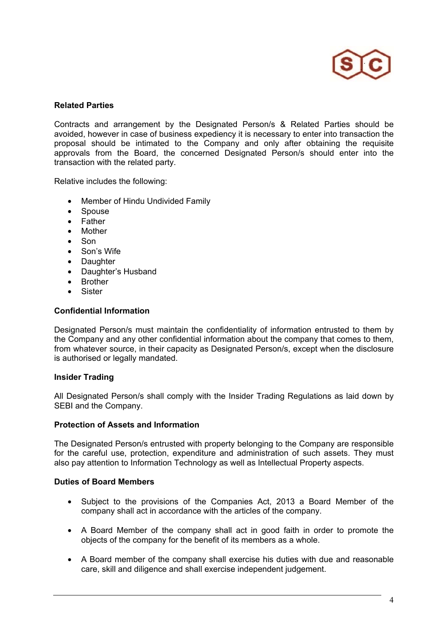

## **Related Parties**

Contracts and arrangement by the Designated Person/s & Related Parties should be avoided, however in case of business expediency it is necessary to enter into transaction the proposal should be intimated to the Company and only after obtaining the requisite approvals from the Board, the concerned Designated Person/s should enter into the transaction with the related party.

Relative includes the following:

- Member of Hindu Undivided Family
- Spouse
- **Father**
- **Mother**
- Son
- Son's Wife
- **Daughter**
- Daughter's Husband
- Brother
- Sister

#### **Confidential Information**

Designated Person/s must maintain the confidentiality of information entrusted to them by the Company and any other confidential information about the company that comes to them, from whatever source, in their capacity as Designated Person/s, except when the disclosure is authorised or legally mandated.

#### **Insider Trading**

All Designated Person/s shall comply with the Insider Trading Regulations as laid down by SEBI and the Company.

#### **Protection of Assets and Information**

The Designated Person/s entrusted with property belonging to the Company are responsible for the careful use, protection, expenditure and administration of such assets. They must also pay attention to Information Technology as well as Intellectual Property aspects.

#### **Duties of Board Members**

- Subject to the provisions of the Companies Act, 2013 a Board Member of the company shall act in accordance with the articles of the company.
- A Board Member of the company shall act in good faith in order to promote the objects of the company for the benefit of its members as a whole.
- A Board member of the company shall exercise his duties with due and reasonable care, skill and diligence and shall exercise independent judgement.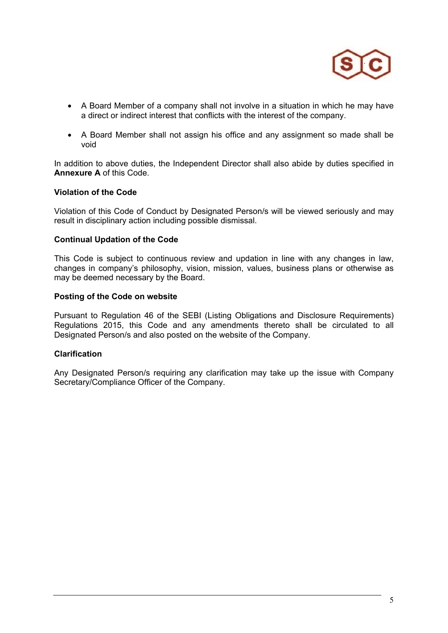

- A Board Member of a company shall not involve in a situation in which he may have a direct or indirect interest that conflicts with the interest of the company.
- A Board Member shall not assign his office and any assignment so made shall be void

In addition to above duties, the Independent Director shall also abide by duties specified in **Annexure A** of this Code.

#### **Violation of the Code**

Violation of this Code of Conduct by Designated Person/s will be viewed seriously and may result in disciplinary action including possible dismissal.

#### **Continual Updation of the Code**

This Code is subject to continuous review and updation in line with any changes in law, changes in company's philosophy, vision, mission, values, business plans or otherwise as may be deemed necessary by the Board.

#### **Posting of the Code on website**

Pursuant to Regulation 46 of the SEBI (Listing Obligations and Disclosure Requirements) Regulations 2015, this Code and any amendments thereto shall be circulated to all Designated Person/s and also posted on the website of the Company.

## **Clarification**

Any Designated Person/s requiring any clarification may take up the issue with Company Secretary/Compliance Officer of the Company.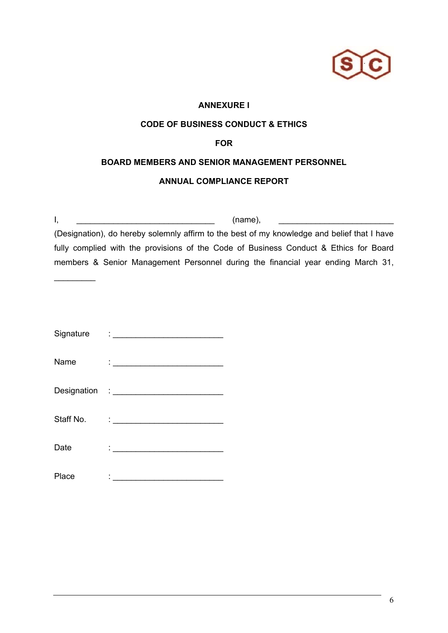

# **ANNEXURE I**

# **CODE OF BUSINESS CONDUCT & ETHICS**

# **FOR**

# **BOARD MEMBERS AND SENIOR MANAGEMENT PERSONNEL**

# **ANNUAL COMPLIANCE REPORT**

 $\Pi,$   $\qquad \qquad \qquad$   $\qquad \qquad$   $\qquad \qquad$   $\qquad \qquad$   $\qquad \qquad$   $\qquad \qquad$   $\qquad \qquad$   $\qquad \qquad$   $\qquad \qquad$   $\qquad \qquad$   $\qquad \qquad$   $\qquad \qquad \qquad$   $\qquad \qquad \qquad$   $\qquad \qquad \qquad \qquad$   $\qquad \qquad \qquad \qquad$   $\qquad \qquad \qquad \qquad \qquad \qquad$   $\qquad \qquad \qquad \qquad \qquad \qquad \qquad \qquad \qquad \qquad \qquad \qquad \$ 

 $\frac{1}{2}$ 

(Designation), do hereby solemnly affirm to the best of my knowledge and belief that I have fully complied with the provisions of the Code of Business Conduct & Ethics for Board members & Senior Management Personnel during the financial year ending March 31,

| Signature | <u> 1989 - Jan Stein Stein Stein Stein Stein Stein Stein Stein Stein Stein Stein Stein Stein Stein Stein Stein S</u> |
|-----------|----------------------------------------------------------------------------------------------------------------------|
| Name      | <u> 1980 - Andrea Britain, politik eta politik eta politik eta politik eta politik eta politik eta politik eta p</u> |
|           | Designation : _______________________                                                                                |
| Staff No. | <u> 1980 - Jan Stein Stein Stein Stein Stein Stein Stein Stein Stein Stein Stein Stein Stein Stein Stein Stein S</u> |
| Date      | <u> 1980 - Jan Stein Stein Stein Stein Stein Stein Stein Stein Stein Stein Stein Stein Stein Stein Stein Stein S</u> |
| Place     | <u> 1990 - Johann Barbara, martin a</u>                                                                              |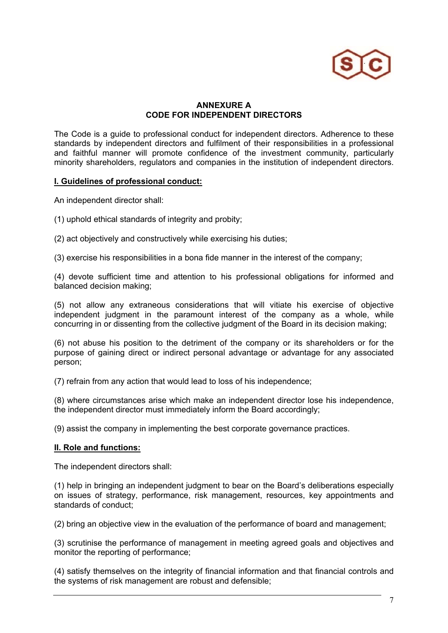

## **ANNEXURE A CODE FOR INDEPENDENT DIRECTORS**

The Code is a guide to professional conduct for independent directors. Adherence to these standards by independent directors and fulfilment of their responsibilities in a professional and faithful manner will promote confidence of the investment community, particularly minority shareholders, regulators and companies in the institution of independent directors.

## **I. Guidelines of professional conduct:**

An independent director shall:

(1) uphold ethical standards of integrity and probity;

(2) act objectively and constructively while exercising his duties;

(3) exercise his responsibilities in a bona fide manner in the interest of the company;

(4) devote sufficient time and attention to his professional obligations for informed and balanced decision making;

(5) not allow any extraneous considerations that will vitiate his exercise of objective independent judgment in the paramount interest of the company as a whole, while concurring in or dissenting from the collective judgment of the Board in its decision making;

(6) not abuse his position to the detriment of the company or its shareholders or for the purpose of gaining direct or indirect personal advantage or advantage for any associated person;

(7) refrain from any action that would lead to loss of his independence;

(8) where circumstances arise which make an independent director lose his independence, the independent director must immediately inform the Board accordingly;

(9) assist the company in implementing the best corporate governance practices.

## **II. Role and functions:**

The independent directors shall:

(1) help in bringing an independent judgment to bear on the Board's deliberations especially on issues of strategy, performance, risk management, resources, key appointments and standards of conduct;

(2) bring an objective view in the evaluation of the performance of board and management;

(3) scrutinise the performance of management in meeting agreed goals and objectives and monitor the reporting of performance;

(4) satisfy themselves on the integrity of financial information and that financial controls and the systems of risk management are robust and defensible;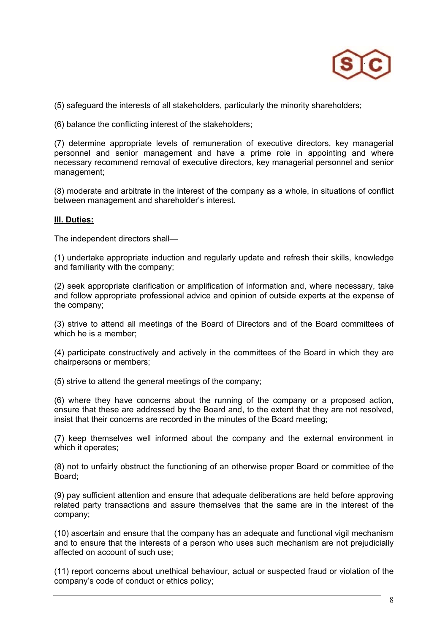

(5) safeguard the interests of all stakeholders, particularly the minority shareholders;

(6) balance the conflicting interest of the stakeholders;

(7) determine appropriate levels of remuneration of executive directors, key managerial personnel and senior management and have a prime role in appointing and where necessary recommend removal of executive directors, key managerial personnel and senior management;

(8) moderate and arbitrate in the interest of the company as a whole, in situations of conflict between management and shareholder's interest.

#### **III. Duties:**

The independent directors shall—

(1) undertake appropriate induction and regularly update and refresh their skills, knowledge and familiarity with the company;

(2) seek appropriate clarification or amplification of information and, where necessary, take and follow appropriate professional advice and opinion of outside experts at the expense of the company;

(3) strive to attend all meetings of the Board of Directors and of the Board committees of which he is a member;

(4) participate constructively and actively in the committees of the Board in which they are chairpersons or members;

(5) strive to attend the general meetings of the company;

(6) where they have concerns about the running of the company or a proposed action, ensure that these are addressed by the Board and, to the extent that they are not resolved, insist that their concerns are recorded in the minutes of the Board meeting;

(7) keep themselves well informed about the company and the external environment in which it operates;

(8) not to unfairly obstruct the functioning of an otherwise proper Board or committee of the Board;

(9) pay sufficient attention and ensure that adequate deliberations are held before approving related party transactions and assure themselves that the same are in the interest of the company;

(10) ascertain and ensure that the company has an adequate and functional vigil mechanism and to ensure that the interests of a person who uses such mechanism are not prejudicially affected on account of such use;

(11) report concerns about unethical behaviour, actual or suspected fraud or violation of the company's code of conduct or ethics policy;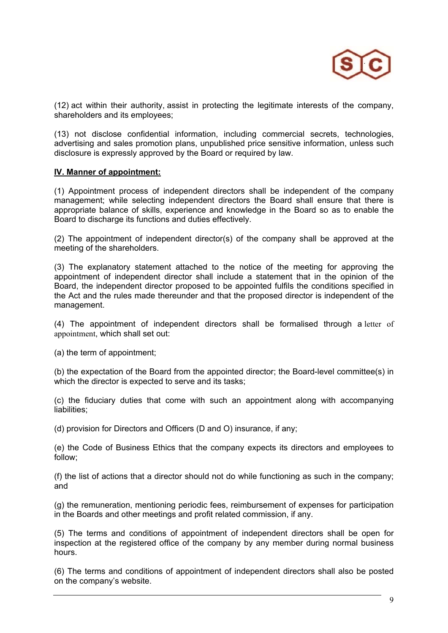

(12) act within their authority, assist in protecting the legitimate interests of the company, shareholders and its employees;

(13) not disclose confidential information, including commercial secrets, technologies, advertising and sales promotion plans, unpublished price sensitive information, unless such disclosure is expressly approved by the Board or required by law.

#### **IV. Manner of appointment:**

(1) Appointment process of independent directors shall be independent of the company management; while selecting independent directors the Board shall ensure that there is appropriate balance of skills, experience and knowledge in the Board so as to enable the Board to discharge its functions and duties effectively.

(2) The appointment of independent director(s) of the company shall be approved at the meeting of the shareholders.

(3) The explanatory statement attached to the notice of the meeting for approving the appointment of independent director shall include a statement that in the opinion of the Board, the independent director proposed to be appointed fulfils the conditions specified in the Act and the rules made thereunder and that the proposed director is independent of the management.

(4) The appointment of independent directors shall be formalised through a letter of appointment, which shall set out:

(a) the term of appointment;

(b) the expectation of the Board from the appointed director; the Board-level committee(s) in which the director is expected to serve and its tasks;

(c) the fiduciary duties that come with such an appointment along with accompanying liabilities;

(d) provision for Directors and Officers (D and O) insurance, if any;

(e) the Code of Business Ethics that the company expects its directors and employees to follow;

(f) the list of actions that a director should not do while functioning as such in the company; and

(g) the remuneration, mentioning periodic fees, reimbursement of expenses for participation in the Boards and other meetings and profit related commission, if any.

(5) The terms and conditions of appointment of independent directors shall be open for inspection at the registered office of the company by any member during normal business hours.

(6) The terms and conditions of appointment of independent directors shall also be posted on the company's website.